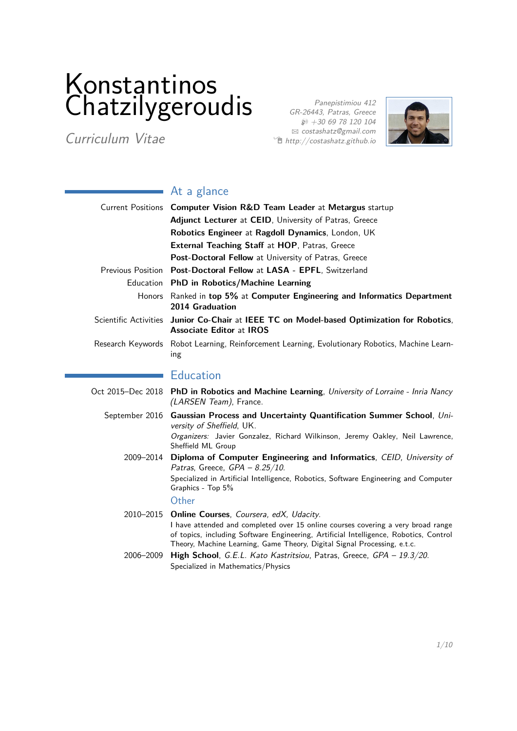# Konstantinos Chatzilygeroudis

Curriculum Vitae

Panepistimiou 412 GR-26443, Patras, Greece  $$+30 69 78 120 104$ B [costashatz@gmail.com](mailto:costashatz@gmail.com)  $\hat{\mathbb{E}}$  <http://costashatz.github.io>



# At a glance

|                          | Current Positions  Computer Vision R&D Team Leader at Metargus startup                                                                                                                                                                                                                                     |
|--------------------------|------------------------------------------------------------------------------------------------------------------------------------------------------------------------------------------------------------------------------------------------------------------------------------------------------------|
|                          | Adjunct Lecturer at CEID, University of Patras, Greece                                                                                                                                                                                                                                                     |
|                          | Robotics Engineer at Ragdoll Dynamics, London, UK                                                                                                                                                                                                                                                          |
|                          | <b>External Teaching Staff at HOP, Patras, Greece</b>                                                                                                                                                                                                                                                      |
|                          | Post-Doctoral Fellow at University of Patras, Greece                                                                                                                                                                                                                                                       |
| <b>Previous Position</b> | Post-Doctoral Fellow at LASA - EPFL, Switzerland                                                                                                                                                                                                                                                           |
|                          | Education PhD in Robotics/Machine Learning                                                                                                                                                                                                                                                                 |
|                          | Honors Ranked in top 5% at Computer Engineering and Informatics Department<br>2014 Graduation                                                                                                                                                                                                              |
|                          | Scientific Activities Junior Co-Chair at IEEE TC on Model-based Optimization for Robotics,<br><b>Associate Editor at IROS</b>                                                                                                                                                                              |
|                          | Research Keywords Robot Learning, Reinforcement Learning, Evolutionary Robotics, Machine Learn-<br>ing                                                                                                                                                                                                     |
|                          | <b>Education</b>                                                                                                                                                                                                                                                                                           |
|                          | Oct 2015–Dec 2018 PhD in Robotics and Machine Learning, University of Lorraine - Inria Nancy<br>(LARSEN Team), France.                                                                                                                                                                                     |
| September 2016           | Gaussian Process and Uncertainty Quantification Summer School, Uni-<br>versity of Sheffield, UK.                                                                                                                                                                                                           |
|                          | Organizers: Javier Gonzalez, Richard Wilkinson, Jeremy Oakley, Neil Lawrence,<br>Sheffield ML Group                                                                                                                                                                                                        |
|                          | 2009-2014 Diploma of Computer Engineering and Informatics, CEID, University of<br>Patras, Greece, $GPA - 8.25/10$ .                                                                                                                                                                                        |
|                          | Specialized in Artificial Intelligence, Robotics, Software Engineering and Computer<br>Graphics - Top 5%                                                                                                                                                                                                   |
|                          | Other                                                                                                                                                                                                                                                                                                      |
|                          | 2010–2015 Online Courses, Coursera, edX, Udacity.<br>I have attended and completed over 15 online courses covering a very broad range<br>of topics, including Software Engineering, Artificial Intelligence, Robotics, Control<br>Theory, Machine Learning, Game Theory, Digital Signal Processing, e.t.c. |
|                          | 2006-2009 High School, G.E.L. Kato Kastritsiou, Patras, Greece, GPA - 19.3/20.<br>Specialized in Mathematics/Physics                                                                                                                                                                                       |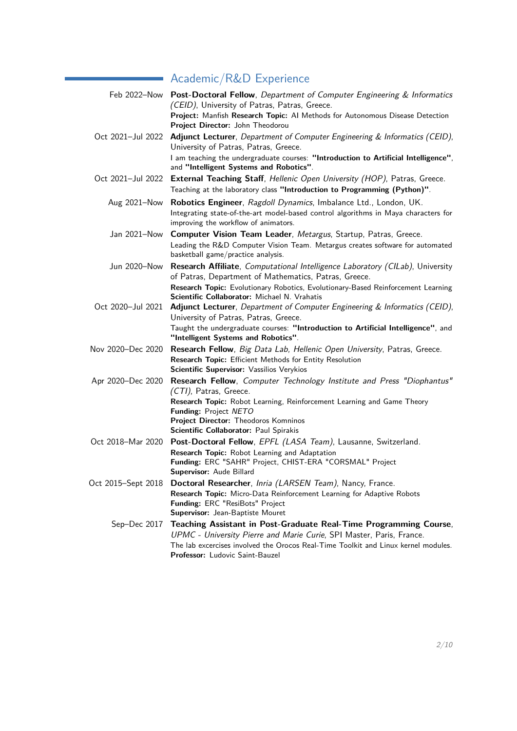# Academic/R&D Experience

|                   | Feb 2022-Now Post-Doctoral Fellow, Department of Computer Engineering & Informatics<br>(CEID), University of Patras, Patras, Greece.<br>Project: Manfish Research Topic: Al Methods for Autonomous Disease Detection<br>Project Director: John Theodorou                                |
|-------------------|-----------------------------------------------------------------------------------------------------------------------------------------------------------------------------------------------------------------------------------------------------------------------------------------|
|                   | Oct 2021-Jul 2022 Adjunct Lecturer, Department of Computer Engineering & Informatics (CEID),<br>University of Patras, Patras, Greece.                                                                                                                                                   |
|                   | I am teaching the undergraduate courses: "Introduction to Artificial Intelligence",<br>and "Intelligent Systems and Robotics".                                                                                                                                                          |
| Oct 2021-Jul 2022 | External Teaching Staff, Hellenic Open University (HOP), Patras, Greece.<br>Teaching at the laboratory class "Introduction to Programming (Python)".                                                                                                                                    |
| Aug 2021-Now      | Robotics Engineer, Ragdoll Dynamics, Imbalance Ltd., London, UK.<br>Integrating state-of-the-art model-based control algorithms in Maya characters for<br>improving the workflow of animators.                                                                                          |
|                   | Jan 2021-Now Computer Vision Team Leader, Metargus, Startup, Patras, Greece.<br>Leading the R&D Computer Vision Team. Metargus creates software for automated<br>basketball game/practice analysis.                                                                                     |
|                   | Jun 2020-Now Research Affiliate, Computational Intelligence Laboratory (CILab), University<br>of Patras, Department of Mathematics, Patras, Greece.<br>Research Topic: Evolutionary Robotics, Evolutionary-Based Reinforcement Learning<br>Scientific Collaborator: Michael N. Vrahatis |
|                   | Oct 2020-Jul 2021 Adjunct Lecturer, Department of Computer Engineering & Informatics (CEID),<br>University of Patras, Patras, Greece.<br>Taught the undergraduate courses: "Introduction to Artificial Intelligence", and<br>"Intelligent Systems and Robotics".                        |
| Nov 2020-Dec 2020 | Research Fellow, Big Data Lab, Hellenic Open University, Patras, Greece.<br>Research Topic: Efficient Methods for Entity Resolution<br>Scientific Supervisor: Vassilios Verykios                                                                                                        |
| Apr 2020-Dec 2020 | Research Fellow, Computer Technology Institute and Press "Diophantus"<br>(CTI), Patras, Greece.<br>Research Topic: Robot Learning, Reinforcement Learning and Game Theory<br>Funding: Project NETO<br>Project Director: Theodoros Komninos<br>Scientific Collaborator: Paul Spirakis    |
| Oct 2018-Mar 2020 | Post-Doctoral Fellow, EPFL (LASA Team), Lausanne, Switzerland.<br>Research Topic: Robot Learning and Adaptation<br>Funding: ERC "SAHR" Project, CHIST-ERA "CORSMAL" Project<br>Supervisor: Aude Billard                                                                                 |
|                   | Oct 2015–Sept 2018 Doctoral Researcher, Inria (LARSEN Team), Nancy, France.<br>Research Topic: Micro-Data Reinforcement Learning for Adaptive Robots<br>Funding: ERC "ResiBots" Project<br>Supervisor: Jean-Baptiste Mouret                                                             |
|                   | Sep-Dec 2017 Teaching Assistant in Post-Graduate Real-Time Programming Course,<br>UPMC - University Pierre and Marie Curie, SPI Master, Paris, France.<br>The lab excercises involved the Orocos Real-Time Toolkit and Linux kernel modules.<br>Professor: Ludovic Saint-Bauzel         |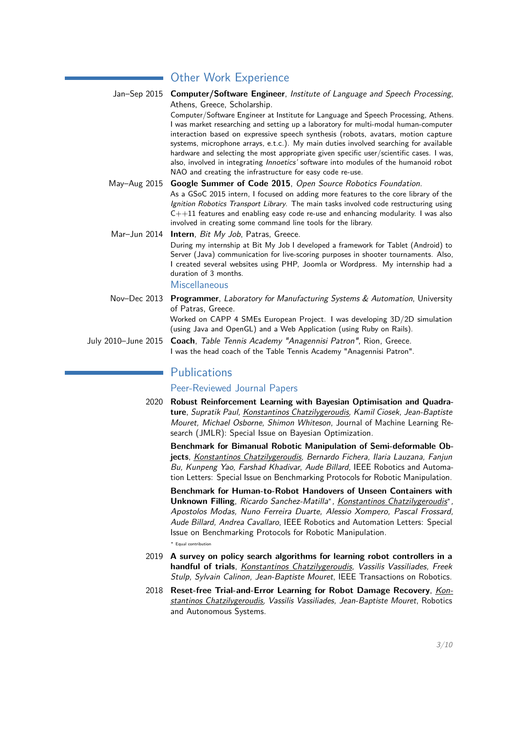# **Other Work Experience**

Jan–Sep 2015 **Computer/Software Engineer**, [Institute of Language and Speech Processing](http://www.ilsp.gr/en), Athens, Greece, Scholarship. Computer/Software Engineer at Institute for Language and Speech Processing, Athens. I was market researching and setting up a laboratory for multi-modal human-computer interaction based on expressive speech synthesis (robots, avatars, motion capture systems, microphone arrays, e.t.c.). My main duties involved searching for available hardware and selecting the most appropriate given specific user/scientific cases. I was,

also, involved in integrating [Innoetics'](http://www.innoetics.com/index.php?lang=en) software into modules of the humanoid robot

- NAO and creating the infrastructure for easy code re-use. May–Aug 2015 **Google Summer of Code 2015**, Open Source Robotics Foundation. As a GSoC 2015 intern, I focused on adding more features to the core library of the [Ignition Robotics Transport Library](http://ignitionrobotics.org/libraries/transport). The main tasks involved code restructuring using  $C++11$  features and enabling easy code re-use and enhancing modularity. I was also involved in creating some command line tools for the library.
- Mar–Jun 2014 **Intern**, [Bit My Job](http://www.bitmyjob.gr/), Patras, Greece. During my internship at Bit My Job I developed a framework for Tablet (Android) to Server (Java) communication for live-scoring purposes in shooter tournaments. Also, I created several websites using PHP, Joomla or Wordpress. My internship had a duration of 3 months. **Miscellaneous**
- Nov–Dec 2013 **Programmer**, [Laboratory for Manufacturing Systems & Automation](http://lms.mech.upatras.gr/), University of Patras, Greece. Worked on CAPP 4 SMEs European Project. I was developing 3D/2D simulation (using Java and OpenGL) and a Web Application (using Ruby on Rails).
- July 2010–June 2015 **Coach**, [Table Tennis Academy "Anagennisi Patron"](http://www.anagennisi-patron.org/), Rion, Greece. I was the head coach of the Table Tennis Academy "Anagennisi Patron".

## **Publications**

Peer-Reviewed Journal Papers

2020 **[Robust Reinforcement Learning with Bayesian Optimisation and Quadra](https://jmlr.org/papers/volume21/18-216/18-216.pdf)[ture](https://jmlr.org/papers/volume21/18-216/18-216.pdf)**, Supratik Paul, Konstantinos Chatzilygeroudis, Kamil Ciosek, Jean-Baptiste Mouret, Michael Osborne, Shimon Whiteson, Journal of Machine Learning Research (JMLR): Special Issue on Bayesian Optimization.

**[Benchmark for Bimanual Robotic Manipulation of Semi-deformable Ob](http://10.1109/LRA.2020.2972837)[jects](http://10.1109/LRA.2020.2972837)**, Konstantinos Chatzilygeroudis, Bernardo Fichera, Ilaria Lauzana, Fanjun Bu, Kunpeng Yao, Farshad Khadivar, Aude Billard, IEEE Robotics and Automation Letters: Special Issue on Benchmarking Protocols for Robotic Manipulation.

**[Benchmark for Human-to-Robot Handovers of Unseen Containers with](http://10.1109/LRA.2020.2969200)** [Unknown Filling](http://10.1109/LRA.2020.2969200), Ricardo Sanchez-Matilla<sup>\*</sup>, Konstantinos Chatzilygeroudis<sup>\*</sup>, Apostolos Modas, Nuno Ferreira Duarte, Alessio Xompero, Pascal Frossard, Aude Billard, Andrea Cavallaro, IEEE Robotics and Automation Letters: Special Issue on Benchmarking Protocols for Robotic Manipulation.

∗ Equal contribution

- 2019 **[A survey on policy search algorithms for learning robot controllers in a](https://arxiv.org/abs/1807.02303) [handful of trials](https://arxiv.org/abs/1807.02303)**, Konstantinos Chatzilygeroudis, Vassilis Vassiliades, Freek Stulp, Sylvain Calinon, Jean-Baptiste Mouret, IEEE Transactions on Robotics.
- 2018 **[Reset-free Trial-and-Error Learning for Robot Damage Recovery](https://arxiv.org/abs/1610.04213)**, Konstantinos Chatzilygeroudis, Vassilis Vassiliades, Jean-Baptiste Mouret, Robotics and Autonomous Systems.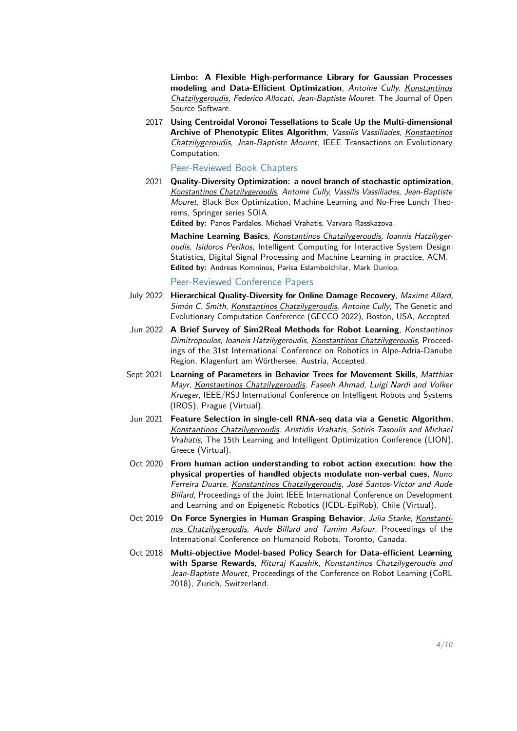**[Limbo: A Flexible High-performance Library for Gaussian Processes](http://joss.theoj.org/papers/10.21105/joss.00545) [modeling and Data-Efficient Optimization](http://joss.theoj.org/papers/10.21105/joss.00545)**, Antoine Cully, Konstantinos Chatzilygeroudis, Federico Allocati, Jean-Baptiste Mouret, The Journal of Open Source Software.

2017 **[Using Centroidal Voronoi Tessellations to Scale Up the Multi-dimensional](https://arxiv.org/abs/1610.05729)** [Archive of Phenotypic Elites Algorithm](https://arxiv.org/abs/1610.05729), Vassilis Vassiliades, Konstantinos Chatzilygeroudis, Jean-Baptiste Mouret, IEEE Transactions on Evolutionary Computation.

#### Peer-Reviewed Book Chapters

2021 **[Quality-Diversity Optimization: a novel branch of stochastic optimization](https://arxiv.org/abs/2012.04322)**, Konstantinos Chatzilygeroudis, Antoine Cully, Vassilis Vassiliades, Jean-Baptiste Mouret, Black Box Optimization, Machine Learning and No-Free Lunch Theorems, Springer series SOIA.

**Edited by:** Panos Pardalos, Michael Vrahatis, Varvara Rasskazova.

**Machine Learning Basics**, Konstantinos Chatzilygeroudis, Ioannis Hatzilygeroudis, Isidoros Perikos, Intelligent Computing for Interactive System Design: Statistics, Digital Signal Processing and Machine Learning in practice, ACM. **Edited by:** Andreas Komninos, Parisa Eslambolchilar, Mark Dunlop.

Peer-Reviewed Conference Papers

- July 2022 **[Hierarchical Quality-Diversity for Online Damage Recovery](https://arxiv.org/abs/2204.05726)**, Maxime Allard, Simón C. Smith, Konstantinos Chatzilygeroudis, Antoine Cully, The Genetic and Evolutionary Computation Conference (GECCO 2022), Boston, USA, Accepted.
- Jun 2022 **[A Brief Survey of Sim2Real Methods for Robot Learning](https://link.springer.com/chapter/10.1007/978-3-031-04870-8_16)**, Konstantinos Dimitropoulos, Ioannis Hatzilygeroudis, Konstantinos Chatzilygeroudis, Proceedings of the 31st International Conference on Robotics in Alpe-Adria-Danube Region, Klagenfurt am Wörthersee, Austria, Accepted.
- Sept 2021 **[Learning of Parameters in Behavior Trees for Movement Skills](https://arxiv.org/abs/2109.13050)**, Matthias Mayr, Konstantinos Chatzilygeroudis, Faseeh Ahmad, Luigi Nardi and Volker Krueger, IEEE/RSJ International Conference on Intelligent Robots and Systems (IROS), Prague (Virtual).
- Jun 2021 **[Feature Selection in single-cell RNA-seq data via a Genetic Algorithm](https://link.springer.com/chapter/10.1007/978-3-030-92121-7_6)**, Konstantinos Chatzilygeroudis, Aristidis Vrahatis, Sotiris Tasoulis and Michael Vrahatis, The 15th Learning and Intelligent Optimization Conference (LION), Greece (Virtual).
- Oct 2020 **[From human action understanding to robot action execution: how the](https://http://costashatz.github.io/files/ICDL2020.pdf) [physical properties of handled objects modulate non-verbal cues](https://http://costashatz.github.io/files/ICDL2020.pdf)**, Nuno Ferreira Duarte, Konstantinos Chatzilygeroudis, José Santos-Victor and Aude Billard, Proceedings of the Joint IEEE International Conference on Development and Learning and on Epigenetic Robotics (ICDL-EpiRob), Chile (Virtual).
- Oct 2019 **[On Force Synergies in Human Grasping Behavior](https://http://costashatz.github.io/files/ICHR19_0047_FI.pdf)**, Julia Starke, Konstantinos Chatzilygeroudis, Aude Billard and Tamim Asfour, Proceedings of the International Conference on Humanoid Robots, Toronto, Canada.
- Oct 2018 **[Multi-objective Model-based Policy Search for Data-efficient Learning](https://arxiv.org/abs/1806.09351) [with Sparse Rewards](https://arxiv.org/abs/1806.09351)**, Rituraj Kaushik, Konstantinos Chatzilygeroudis and Jean-Baptiste Mouret, Proceedings of the Conference on Robot Learning (CoRL 2018), Zurich, Switzerland.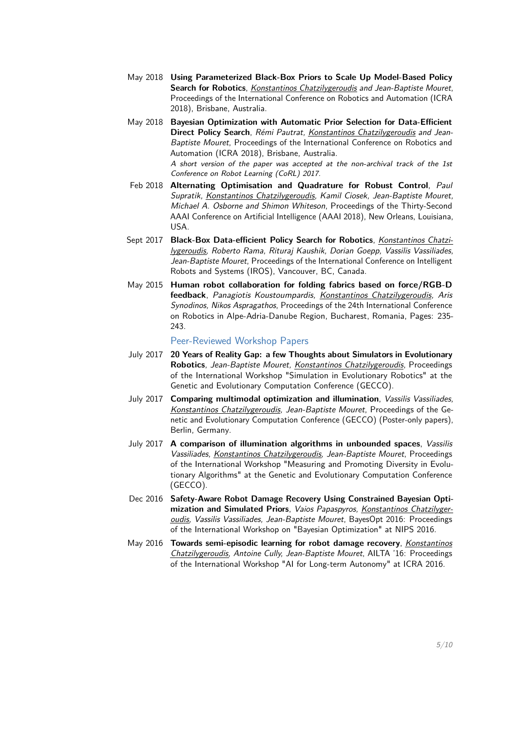- May 2018 **[Using Parameterized Black-Box Priors to Scale Up Model-Based Policy](https://arxiv.org/abs/1709.06917) [Search for Robotics](https://arxiv.org/abs/1709.06917)**, Konstantinos Chatzilygeroudis and Jean-Baptiste Mouret, Proceedings of the International Conference on Robotics and Automation (ICRA 2018), Brisbane, Australia.
- May 2018 **[Bayesian Optimization with Automatic Prior Selection for Data-Efficient](https://arxiv.org/abs/1709.06919) [Direct Policy Search](https://arxiv.org/abs/1709.06919)**, Rémi Pautrat, Konstantinos Chatzilygeroudis and Jean-Baptiste Mouret, Proceedings of the International Conference on Robotics and Automation (ICRA 2018), Brisbane, Australia.

A short version of the paper was accepted at the non-archival track of the 1st Conference on Robot Learning (CoRL) 2017.

- Feb 2018 **[Alternating Optimisation and Quadrature for Robust Control](https://arxiv.org/abs/1605.07496)**, Paul Supratik, Konstantinos Chatzilygeroudis, Kamil Ciosek, Jean-Baptiste Mouret, Michael A. Osborne and Shimon Whiteson, Proceedings of the Thirty-Second AAAI Conference on Artificial Intelligence (AAAI 2018), New Orleans, Louisiana, USA.
- Sept 2017 **[Black-Box Data-efficient Policy Search for Robotics](https://arxiv.org/abs/1703.07261)**, Konstantinos Chatzilygeroudis, Roberto Rama, Rituraj Kaushik, Dorian Goepp, Vassilis Vassiliades, Jean-Baptiste Mouret, Proceedings of the International Conference on Intelligent Robots and Systems (IROS), Vancouver, BC, Canada.
- May 2015 **[Human robot collaboration for folding fabrics based on force/RGB-D](https://scholar.google.gr/citations?view_op=view_citation&hl=en&user=tnf6B-EAAAAJ&citation_for_view=tnf6B-EAAAAJ:u5HHmVD_uO8C) [feedback](https://scholar.google.gr/citations?view_op=view_citation&hl=en&user=tnf6B-EAAAAJ&citation_for_view=tnf6B-EAAAAJ:u5HHmVD_uO8C)**, Panagiotis Koustoumpardis, Konstantinos Chatzilygeroudis, Aris Synodinos, Nikos Aspragathos, Proceedings of the 24th International Conference on Robotics in Alpe-Adria-Danube Region, Bucharest, Romania, Pages: 235- 243.

#### Peer-Reviewed Workshop Papers

- July 2017 **[20 Years of Reality Gap: a few Thoughts about Simulators in Evolutionary](https://hal.inria.fr/hal-01518764/) [Robotics](https://hal.inria.fr/hal-01518764/)**, Jean-Baptiste Mouret, Konstantinos Chatzilygeroudis, Proceedings of the International Workshop "Simulation in Evolutionary Robotics" at the Genetic and Evolutionary Computation Conference (GECCO).
- July 2017 **[Comparing multimodal optimization and illumination](https://hal.inria.fr/hal-01518802/)**, Vassilis Vassiliades, Konstantinos Chatzilygeroudis, Jean-Baptiste Mouret, Proceedings of the Genetic and Evolutionary Computation Conference (GECCO) (Poster-only papers), Berlin, Germany.
- July 2017 **[A comparison of illumination algorithms in unbounded spaces](https://hal.inria.fr/hal-01518814/)**, Vassilis Vassiliades, Konstantinos Chatzilygeroudis, Jean-Baptiste Mouret, Proceedings of the International Workshop "Measuring and Promoting Diversity in Evolutionary Algorithms" at the Genetic and Evolutionary Computation Conference (GECCO).
- Dec 2016 **[Safety-Aware Robot Damage Recovery Using Constrained Bayesian Opti](https://arxiv.org/abs/1611.09419)[mization and Simulated Priors](https://arxiv.org/abs/1611.09419)**, Vaios Papaspyros, Konstantinos Chatzilygeroudis, Vassilis Vassiliades, Jean-Baptiste Mouret, BayesOpt 2016: Proceedings of the International Workshop on "Bayesian Optimization" at NIPS 2016.
- May 2016 **[Towards semi-episodic learning for robot damage recovery](https://arxiv.org/abs/1610.01407)**, Konstantinos Chatzilygeroudis, Antoine Cully, Jean-Baptiste Mouret, AILTA '16: Proceedings of the International Workshop "AI for Long-term Autonomy" at ICRA 2016.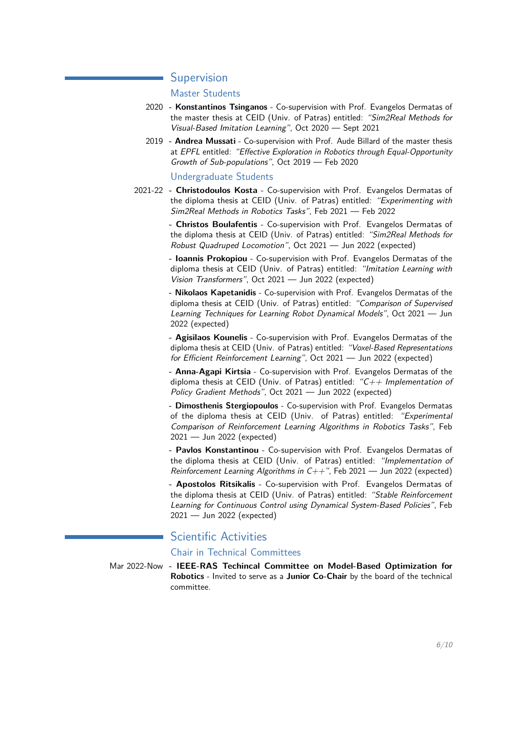### **Supervision**

#### Master Students

- 2020 **- [Konstantinos Tsinganos](https://kostastsing.github.io/)** Co-supervision with Prof. Evangelos Dermatas of the master thesis at CEID (Univ. of Patras) entitled: "Sim2Real Methods for Visual-Based Imitation Learning", Oct 2020 — Sept 2021
- 2019  **Andrea Mussati** Co-supervision with Prof. Aude Billard of the master thesis at EPFL entitled: "Effective Exploration in Robotics through Equal-Opportunity Growth of Sub-populations", Oct 2019 — Feb 2020

#### Undergraduate Students

2021-22 **- Christodoulos Kosta** - Co-supervision with Prof. Evangelos Dermatas of the diploma thesis at CEID (Univ. of Patras) entitled: "Experimenting with Sim2Real Methods in Robotics Tasks", Feb 2021 — Feb 2022

> **- Christos Boulafentis** - Co-supervision with Prof. Evangelos Dermatas of the diploma thesis at CEID (Univ. of Patras) entitled: "Sim2Real Methods for Robust Quadruped Locomotion", Oct 2021 — Jun 2022 (expected)

> **- Ioannis Prokopiou** - Co-supervision with Prof. Evangelos Dermatas of the diploma thesis at CEID (Univ. of Patras) entitled: "Imitation Learning with Vision Transformers", Oct 2021 — Jun 2022 (expected)

> **- Nikolaos Kapetanidis** - Co-supervision with Prof. Evangelos Dermatas of the diploma thesis at CEID (Univ. of Patras) entitled: "Comparison of Supervised Learning Techniques for Learning Robot Dynamical Models", Oct 2021 — Jun 2022 (expected)

> **- Agisilaos Kounelis** - Co-supervision with Prof. Evangelos Dermatas of the diploma thesis at CEID (Univ. of Patras) entitled: "Voxel-Based Representations for Efficient Reinforcement Learning", Oct 2021 — Jun 2022 (expected)

> **- Anna-Agapi Kirtsia** - Co-supervision with Prof. Evangelos Dermatas of the diploma thesis at CEID (Univ. of Patras) entitled: " $C++$  Implementation of Policy Gradient Methods", Oct 2021 - Jun 2022 (expected)

> **- Dimosthenis Stergiopoulos** - Co-supervision with Prof. Evangelos Dermatas of the diploma thesis at CEID (Univ. of Patras) entitled: "Experimental Comparison of Reinforcement Learning Algorithms in Robotics Tasks", Feb 2021 — Jun 2022 (expected)

> **- Pavlos Konstantinou** - Co-supervision with Prof. Evangelos Dermatas of the diploma thesis at CEID (Univ. of Patras) entitled: "Implementation of Reinforcement Learning Algorithms in  $C++$ ", Feb 2021 — Jun 2022 (expected)

> **- Apostolos Ritsikalis** - Co-supervision with Prof. Evangelos Dermatas of the diploma thesis at CEID (Univ. of Patras) entitled: "Stable Reinforcement Learning for Continuous Control using Dynamical System-Based Policies", Feb 2021 — Jun 2022 (expected)

# Scientific Activities

#### Chair in Technical Committees

Mar 2022-Now **- [IEEE-RAS Techincal Committee on Model-Based Optimization for](https://www.ieee-ras.org/model-based-optimization-for-robotics/contact) [Robotics](https://www.ieee-ras.org/model-based-optimization-for-robotics/contact)** - Invited to serve as a **Junior Co-Chair** by the board of the technical committee.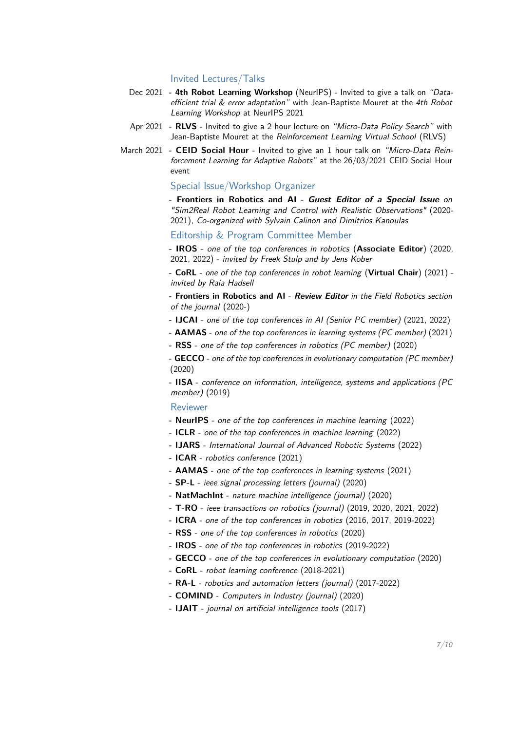#### Invited Lectures/Talks

- Dec 2021  **4th Robot Learning Workshop** (NeurIPS) Invited to give a talk on "Data-efficient trial & error adaptation" with Jean-Baptiste Mouret at the [4th Robot](https://www.youtube.com/watch?v=PejzhwyW3wA&t=491s&ab_channel=4thRobotLearningWorkshop-NeurIPS2021) [Learning Workshop](https://www.youtube.com/watch?v=PejzhwyW3wA&t=491s&ab_channel=4thRobotLearningWorkshop-NeurIPS2021) at NeurIPS 2021
- Apr 2021  **RLVS** Invited to give a 2 hour lecture on "Micro-Data Policy Search" with Jean-Baptiste Mouret at the [Reinforcement Learning Virtual School](https://rl-vs.github.io/rlvs2021/) (RLVS)
- March 2021  **CEID Social Hour** Invited to give an 1 hour talk on "Micro-Data Reinforcement Learning for Adaptive Robots" at the 26/03/2021 [CEID Social Hour](https://www.ceid.upatras.gr/el/seminario-tmimatos-ceid-social-hour) [event](https://www.ceid.upatras.gr/el/seminario-tmimatos-ceid-social-hour)

#### Special Issue/Workshop Organizer

**- Frontiers in Robotics and AI** - **Guest Editor of a Special Issue** on ["Sim2Real Robot Learning and Control with Realistic Observations"](https://www.frontiersin.org/research-topics/16786/sim2real-robot-learning-and-control-with-realistic-observations) (2020- 2021), Co-organized with [Sylvain Calinon](http://calinon.ch/) and [Dimitrios Kanoulas](https://dkanou.github.io/)

#### Editorship & Program Committee Member

**- IROS** - one of the top conferences in robotics (**Associate Editor**) (2020, 2021, 2022) - invited by Freek Stulp and by Jens Kober

**- CoRL** - one of the top conferences in robot learning (**Virtual Chair**) (2021) invited by Raia Hadsell

**- Frontiers in Robotics and AI** - **Review Editor** in the Field Robotics section of the journal (2020-)

- **IJCAI** one of the top conferences in AI (Senior PC member) (2021, 2022)
- **AAMAS** one of the top conferences in learning systems (PC member) (2021)
- **RSS** one of the top conferences in robotics (PC member) (2020)
- **GECCO** one of the top conferences in evolutionary computation (PC member) (2020)

**- IISA** - conference on information, intelligence, systems and applications (PC member) (2019)

#### Reviewer

- **NeurIPS** one of the top conferences in machine learning (2022)
- **ICLR** one of the top conferences in machine learning (2022)
- **IJARS** International Journal of Advanced Robotic Systems (2022)
- **ICAR** robotics conference (2021)
- **AAMAS** one of the top conferences in learning systems (2021)
- **SP-L** ieee signal processing letters (journal) (2020)
- **NatMachInt** nature machine intelligence (journal) (2020)
- **T-RO** ieee transactions on robotics (journal) (2019, 2020, 2021, 2022)
- **ICRA** one of the top conferences in robotics (2016, 2017, 2019-2022)
- **RSS** one of the top conferences in robotics (2020)
- **IROS** one of the top conferences in robotics (2019-2022)
- **GECCO** one of the top conferences in evolutionary computation (2020)
- **CoRL** robot learning conference (2018-2021)
- **RA-L** robotics and automation letters (journal) (2017-2022)
- **COMIND** Computers in Industry (journal) (2020)
- **IJAIT** journal on artificial intelligence tools (2017)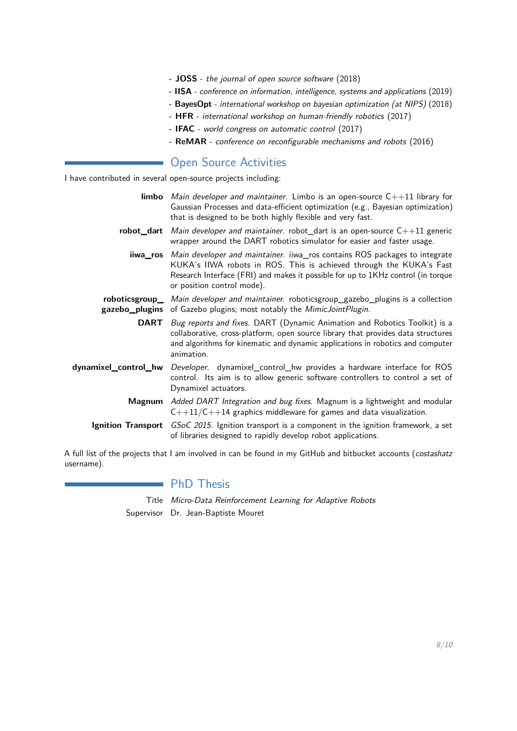- **JOSS** the journal of open source software (2018)
- **IISA** conference on information, intelligence, systems and applications (2019)
- **BayesOpt** international workshop on bayesian optimization (at NIPS) (2018)
- **HFR** international workshop on human-friendly robotics (2017)
- **IFAC** world congress on automatic control (2017)
- **ReMAR** conference on reconfigurable mechanisms and robots (2016)

# **Open Source Activities**

I have contributed in several open-source projects including:

| <b>limbo</b> Main developer and maintainer. Limbo is an open-source $C_{++}11$ library for<br>Gaussian Processes and data-efficient optimization (e.g., Bayesian optimization)<br>that is designed to be both highly flexible and very fast.                                 |
|------------------------------------------------------------------------------------------------------------------------------------------------------------------------------------------------------------------------------------------------------------------------------|
| robot_dart Main developer and maintainer. robot_dart is an open-source $C++11$ generic<br>wrapper around the DART robotics simulator for easier and faster usage.                                                                                                            |
| iiwa_ros Main developer and maintainer. iiwa_ros contains ROS packages to integrate<br>KUKA's IIWA robots in ROS. This is achieved through the KUKA's Fast<br>Research Interface (FRI) and makes it possible for up to 1KHz control (in torque<br>or position control mode). |
| roboticsgroup_ Main developer and maintainer. roboticsgroup_gazebo_plugins is a collection<br>gazebo_plugins of Gazebo plugins; most notably the MimicJointPlugin.                                                                                                           |
| <b>DART</b> Bug reports and fixes. DART (Dynamic Animation and Robotics Toolkit) is a<br>collaborative, cross-platform, open source library that provides data structures<br>and algorithms for kinematic and dynamic applications in robotics and computer<br>animation.    |
| dynamixel_control_hw Developer. dynamixel_control_hw provides a hardware interface for ROS<br>control. Its aim is to allow generic software controllers to control a set of<br>Dynamixel actuators.                                                                          |
| Magnum Added DART Integration and bug fixes. Magnum is a lightweight and modular<br>$C++11/C++14$ graphics middleware for games and data visualization.                                                                                                                      |
| <b>Ignition Transport</b> <i>GSoC 2015</i> . Ignition transport is a component in the ignition framework, a set<br>of libraries designed to rapidly develop robot applications.                                                                                              |

A full list of the projects that I am involved in can be found in my [GitHub](http://www.github.com/costashatz) and [bitbucket](http://www.bitbucket.org/costashatz) accounts (costashatz username).

# **PhD Thesis**

Title Micro-Data Reinforcement Learning for Adaptive Robots Supervisor Dr. Jean-Baptiste Mouret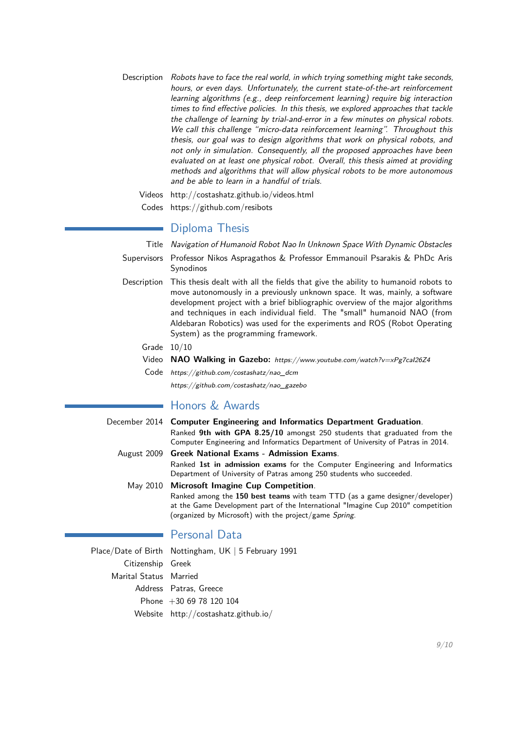Description Robots have to face the real world, in which trying something might take seconds, hours, or even days. Unfortunately, the current state-of-the-art reinforcement learning algorithms (e.g., deep reinforcement learning) require big interaction times to find effective policies. In this thesis, we explored approaches that tackle the challenge of learning by trial-and-error in a few minutes on physical robots. We call this challenge "micro-data reinforcement learning". Throughout this thesis, our goal was to design algorithms that work on physical robots, and not only in simulation. Consequently, all the proposed approaches have been evaluated on at least one physical robot. Overall, this thesis aimed at providing methods and algorithms that will allow physical robots to be more autonomous and be able to learn in a handful of trials.

Videos <http://costashatz.github.io/videos.html>

Codes <https://github.com/resibots>

# **Diploma Thesis**

Title Navigation of Humanoid Robot Nao In Unknown Space With Dynamic Obstacles

- Supervisors Professor Nikos Aspragathos & Professor Emmanouil Psarakis & PhDc Aris Synodinos
- Description This thesis dealt with all the fields that give the ability to humanoid robots to move autonomously in a previously unknown space. It was, mainly, a software development project with a brief bibliographic overview of the major algorithms and techniques in each individual field. The "small" humanoid NAO (from Aldebaran Robotics) was used for the experiments and ROS (Robot Operating System) as the programming framework.
	- Grade 10/10
	- Video **NAO Walking in Gazebo:** <https://www.youtube.com/watch?v=xPg7caI26Z4>
	- Code [https://github.com/costashatz/nao\\_dcm](https://github.com/costashatz/nao_dcm)

# [https://github.com/costashatz/nao\\_gazebo](https://github.com/costashatz/nao_gazebo)

# ■ Honors & Awards

| December 2014 Computer Engineering and Informatics Department Graduation.        |
|----------------------------------------------------------------------------------|
| Ranked 9th with GPA 8.25/10 amongst 250 students that graduated from the         |
| Computer Engineering and Informatics Department of University of Patras in 2014. |
| August 2009 Greek National Exams - Admission Exams.                              |

Ranked **1st in admission exams** for the Computer Engineering and Informatics Department of University of Patras among 250 students who succeeded.

May 2010 **Microsoft Imagine Cup Competition**. Ranked among the **150 best teams** with team TTD (as a game designer/developer) at the Game Development part of the International "Imagine Cup 2010" competition (organized by Microsoft) with the project/game [Spring](http://www.youtube.com/watch?v=wmSqmkaIbKc).

# Personal Data

Place/Date of Birth Nottingham, UK | 5 February 1991 Citizenship Greek Marital Status Married Address Patras, Greece Phone +30 69 78 120 104 Website <http://costashatz.github.io/>